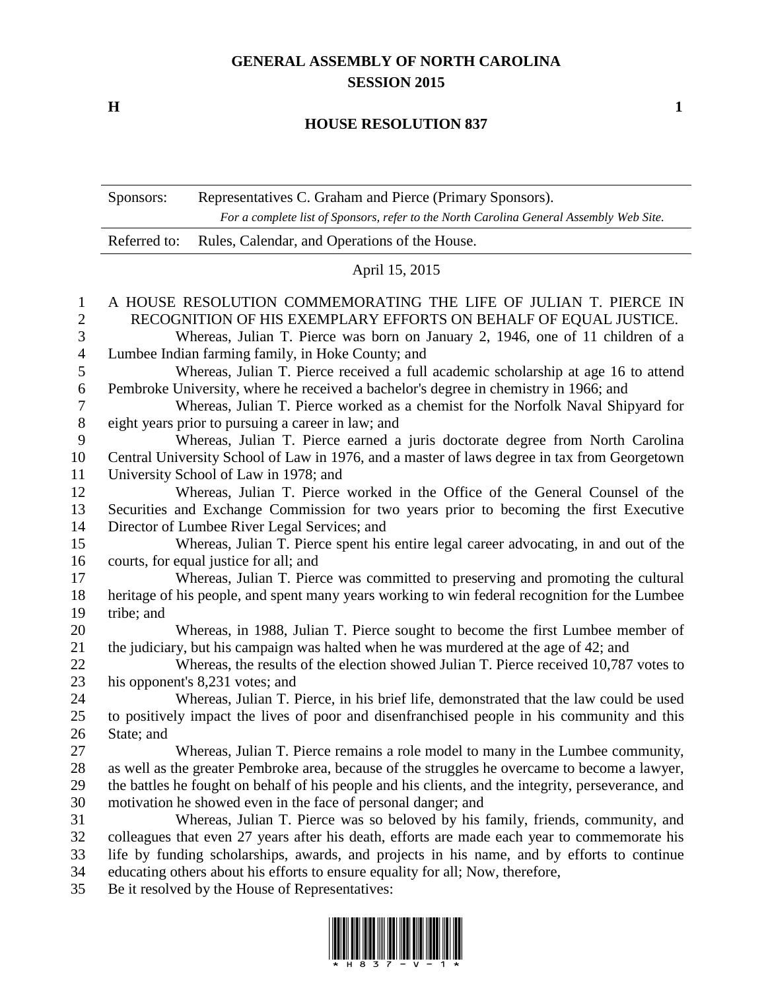## **GENERAL ASSEMBLY OF NORTH CAROLINA SESSION 2015**

**H 1**

## **HOUSE RESOLUTION 837**

|                | Sponsors:                                                                                      | Representatives C. Graham and Pierce (Primary Sponsors).                                            |  |
|----------------|------------------------------------------------------------------------------------------------|-----------------------------------------------------------------------------------------------------|--|
|                |                                                                                                | For a complete list of Sponsors, refer to the North Carolina General Assembly Web Site.             |  |
|                | Referred to:                                                                                   | Rules, Calendar, and Operations of the House.                                                       |  |
|                | April 15, 2015                                                                                 |                                                                                                     |  |
| $\mathbf{1}$   | A HOUSE RESOLUTION COMMEMORATING THE LIFE OF JULIAN T. PIERCE IN                               |                                                                                                     |  |
| $\overline{2}$ | RECOGNITION OF HIS EXEMPLARY EFFORTS ON BEHALF OF EQUAL JUSTICE.                               |                                                                                                     |  |
| 3              | Whereas, Julian T. Pierce was born on January 2, 1946, one of 11 children of a                 |                                                                                                     |  |
| $\overline{4}$ | Lumbee Indian farming family, in Hoke County; and                                              |                                                                                                     |  |
| 5              | Whereas, Julian T. Pierce received a full academic scholarship at age 16 to attend             |                                                                                                     |  |
| 6              | Pembroke University, where he received a bachelor's degree in chemistry in 1966; and           |                                                                                                     |  |
| $\tau$         | Whereas, Julian T. Pierce worked as a chemist for the Norfolk Naval Shipyard for               |                                                                                                     |  |
| $8\,$          | eight years prior to pursuing a career in law; and                                             |                                                                                                     |  |
| 9              | Whereas, Julian T. Pierce earned a juris doctorate degree from North Carolina                  |                                                                                                     |  |
| 10             | Central University School of Law in 1976, and a master of laws degree in tax from Georgetown   |                                                                                                     |  |
| 11             | University School of Law in 1978; and                                                          |                                                                                                     |  |
| 12             |                                                                                                | Whereas, Julian T. Pierce worked in the Office of the General Counsel of the                        |  |
| 13             | Securities and Exchange Commission for two years prior to becoming the first Executive         |                                                                                                     |  |
| 14             | Director of Lumbee River Legal Services; and                                                   |                                                                                                     |  |
| 15             |                                                                                                | Whereas, Julian T. Pierce spent his entire legal career advocating, in and out of the               |  |
| 16             | courts, for equal justice for all; and                                                         |                                                                                                     |  |
| 17             |                                                                                                | Whereas, Julian T. Pierce was committed to preserving and promoting the cultural                    |  |
| 18             | heritage of his people, and spent many years working to win federal recognition for the Lumbee |                                                                                                     |  |
| 19             | tribe; and                                                                                     |                                                                                                     |  |
| 20             |                                                                                                | Whereas, in 1988, Julian T. Pierce sought to become the first Lumbee member of                      |  |
| 21             |                                                                                                | the judiciary, but his campaign was halted when he was murdered at the age of 42; and               |  |
| 22             |                                                                                                | Whereas, the results of the election showed Julian T. Pierce received 10,787 votes to               |  |
| 23             |                                                                                                | his opponent's 8,231 votes; and                                                                     |  |
| 24             |                                                                                                | Whereas, Julian T. Pierce, in his brief life, demonstrated that the law could be used               |  |
| 25             |                                                                                                | to positively impact the lives of poor and disenfranchised people in his community and this         |  |
| 26             | State; and                                                                                     |                                                                                                     |  |
| 27             |                                                                                                | Whereas, Julian T. Pierce remains a role model to many in the Lumbee community,                     |  |
| 28             |                                                                                                | as well as the greater Pembroke area, because of the struggles he overcame to become a lawyer,      |  |
| 29             |                                                                                                | the battles he fought on behalf of his people and his clients, and the integrity, perseverance, and |  |
| 30             |                                                                                                | motivation he showed even in the face of personal danger; and                                       |  |
| 31             |                                                                                                | Whereas, Julian T. Pierce was so beloved by his family, friends, community, and                     |  |
| 32             |                                                                                                | colleagues that even 27 years after his death, efforts are made each year to commemorate his        |  |
| 33             | life by funding scholarships, awards, and projects in his name, and by efforts to continue     |                                                                                                     |  |
| 34             |                                                                                                | educating others about his efforts to ensure equality for all; Now, therefore,                      |  |
| 35             |                                                                                                | Be it resolved by the House of Representatives:                                                     |  |